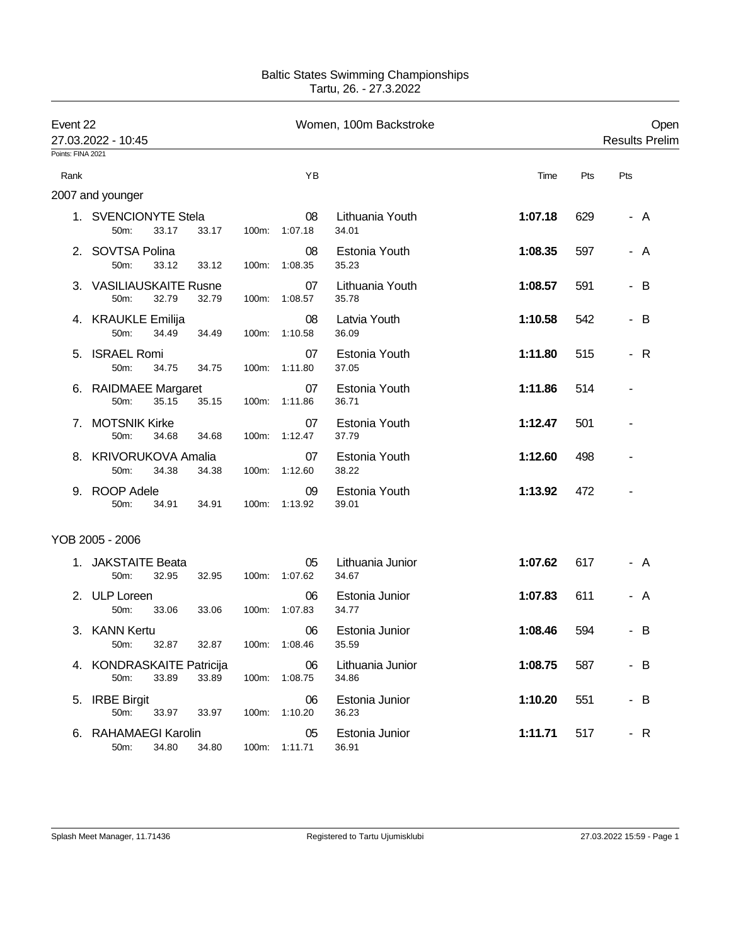## Baltic States Swimming Championships Tartu, 26. - 27.3.2022

| Event 22<br>27.03.2022 - 10:45 |                                            |       | Women, 100m Backstroke |                     |                           |         | Open<br><b>Results Prelim</b> |     |
|--------------------------------|--------------------------------------------|-------|------------------------|---------------------|---------------------------|---------|-------------------------------|-----|
| Points: FINA 2021              |                                            |       |                        |                     |                           |         |                               |     |
| Rank                           |                                            |       |                        | YB                  |                           | Time    | Pts                           | Pts |
|                                | 2007 and younger                           |       |                        |                     |                           |         |                               |     |
|                                | 1. SVENCIONYTE Stela<br>33.17<br>50m:      | 33.17 | 100m:                  | 08<br>1:07.18       | Lithuania Youth<br>34.01  | 1:07.18 | 629                           | - A |
|                                | 2. SOVTSA Polina<br>50m:<br>33.12          | 33.12 | 100m:                  | 08<br>1:08.35       | Estonia Youth<br>35.23    | 1:08.35 | 597                           | - A |
|                                | 3. VASILIAUSKAITE Rusne<br>50m:<br>32.79   | 32.79 | 100m:                  | 07<br>1:08.57       | Lithuania Youth<br>35.78  | 1:08.57 | 591                           | - B |
|                                | 4. KRAUKLE Emilija<br>50m:<br>34.49        | 34.49 | 100m:                  | 08<br>1:10.58       | Latvia Youth<br>36.09     | 1:10.58 | 542                           | - B |
| 5.                             | <b>ISRAEL Romi</b><br>50m:<br>34.75        | 34.75 | 100m:                  | 07<br>1:11.80       | Estonia Youth<br>37.05    | 1:11.80 | 515                           | - R |
|                                | 6. RAIDMAEE Margaret<br>35.15<br>50m:      | 35.15 | 100m:                  | 07<br>1:11.86       | Estonia Youth<br>36.71    | 1:11.86 | 514                           |     |
| 7.                             | <b>MOTSNIK Kirke</b><br>50m:<br>34.68      | 34.68 | 100m:                  | 07<br>1:12.47       | Estonia Youth<br>37.79    | 1:12.47 | 501                           |     |
|                                | 8. KRIVORUKOVA Amalia<br>34.38<br>50m:     | 34.38 | 100m:                  | 07<br>1:12.60       | Estonia Youth<br>38.22    | 1:12.60 | 498                           |     |
|                                | 9. ROOP Adele<br>50m:<br>34.91             | 34.91 | 100m:                  | 09<br>1:13.92       | Estonia Youth<br>39.01    | 1:13.92 | 472                           |     |
|                                | YOB 2005 - 2006                            |       |                        |                     |                           |         |                               |     |
| 1.                             | <b>JAKSTAITE Beata</b><br>50m:<br>32.95    | 32.95 | 100m:                  | 05<br>1:07.62       | Lithuania Junior<br>34.67 | 1:07.62 | 617                           | - A |
|                                | 2. ULP Loreen<br>50m:<br>33.06             | 33.06 | 100m:                  | 06<br>1:07.83       | Estonia Junior<br>34.77   | 1:07.83 | 611                           | - A |
|                                | 3. KANN Kertu<br>32.87<br>50m:             | 32.87 |                        | 06<br>100m: 1:08.46 | Estonia Junior<br>35.59   | 1:08.46 | 594                           | B   |
|                                | 4. KONDRASKAITE Patricija<br>33.89<br>50m: | 33.89 | 100m:                  | 06<br>1:08.75       | Lithuania Junior<br>34.86 | 1:08.75 | 587                           | - B |
|                                | 5. IRBE Birgit<br>50m:<br>33.97            | 33.97 | 100m:                  | 06<br>1:10.20       | Estonia Junior<br>36.23   | 1:10.20 | 551                           | - B |
|                                | 6. RAHAMAEGI Karolin<br>50m:<br>34.80      | 34.80 |                        | 05<br>100m: 1:11.71 | Estonia Junior<br>36.91   | 1:11.71 | 517                           | - R |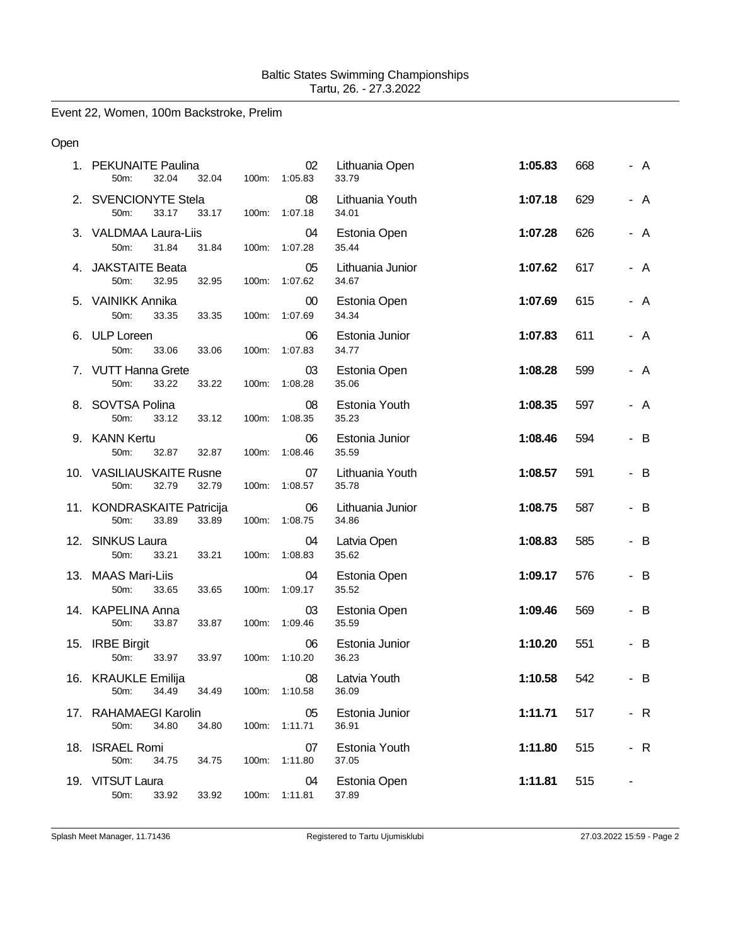Event 22, Women, 100m Backstroke, Prelim

## Open

| 1. PEKUNAITE Paulina<br>50m:<br>32.04       | 32.04<br>100m: | 02<br>1:05.83       | Lithuania Open<br>33.79   | 1:05.83 | 668 | - A |  |
|---------------------------------------------|----------------|---------------------|---------------------------|---------|-----|-----|--|
| 2. SVENCIONYTE Stela<br>50m:<br>33.17       | 33.17          | 08<br>100m: 1:07.18 | Lithuania Youth<br>34.01  | 1:07.18 | 629 | - A |  |
| 3. VALDMAA Laura-Liis<br>50m:<br>31.84      | 31.84<br>100m: | 04<br>1:07.28       | Estonia Open<br>35.44     | 1:07.28 | 626 | - A |  |
| 4. JAKSTAITE Beata<br>50m:<br>32.95         | 32.95<br>100m: | 05<br>1:07.62       | Lithuania Junior<br>34.67 | 1:07.62 | 617 | - A |  |
| 5. VAINIKK Annika<br>50m:<br>33.35          | 33.35<br>100m: | $00\,$<br>1:07.69   | Estonia Open<br>34.34     | 1:07.69 | 615 | - A |  |
| 6. ULP Loreen<br>50m:<br>33.06              | 100m:<br>33.06 | 06<br>1:07.83       | Estonia Junior<br>34.77   | 1:07.83 | 611 | - A |  |
| 7. VUTT Hanna Grete<br>33.22<br>50m:        | 33.22<br>100m: | 03<br>1:08.28       | Estonia Open<br>35.06     | 1:08.28 | 599 | - A |  |
| 8. SOVTSA Polina<br>50m:<br>33.12           | 33.12<br>100m: | 08<br>1:08.35       | Estonia Youth<br>35.23    | 1:08.35 | 597 | - A |  |
| 9. KANN Kertu<br>50m:<br>32.87              | 32.87<br>100m: | 06<br>1:08.46       | Estonia Junior<br>35.59   | 1:08.46 | 594 | - B |  |
| 10. VASILIAUSKAITE Rusne<br>32.79<br>50m:   | 32.79<br>100m: | 07<br>1:08.57       | Lithuania Youth<br>35.78  | 1:08.57 | 591 | - B |  |
| 11. KONDRASKAITE Patricija<br>50m:<br>33.89 | 33.89<br>100m: | 06<br>1:08.75       | Lithuania Junior<br>34.86 | 1:08.75 | 587 | - B |  |
| 12. SINKUS Laura<br>50m:<br>33.21           | 33.21<br>100m: | 04<br>1:08.83       | Latvia Open<br>35.62      | 1:08.83 | 585 | - B |  |
| 13. MAAS Mari-Liis<br>33.65<br>50m:         | 100m:<br>33.65 | 04<br>1:09.17       | Estonia Open<br>35.52     | 1:09.17 | 576 | - B |  |
| 14. KAPELINA Anna<br>50m:<br>33.87          | 33.87<br>100m: | 03<br>1:09.46       | Estonia Open<br>35.59     | 1:09.46 | 569 | - B |  |
| 15. IRBE Birgit<br>50m:<br>33.97            | 33.97<br>100m: | 06<br>1:10.20       | Estonia Junior<br>36.23   | 1:10.20 | 551 | - B |  |
| 16. KRAUKLE Emilija<br>50m: 34.49           | 34.49          | 08<br>100m: 1:10.58 | Latvia Youth<br>36.09     | 1:10.58 | 542 | - B |  |
| 17. RAHAMAEGI Karolin<br>50m:<br>34.80      | 34.80<br>100m: | 05<br>1:11.71       | Estonia Junior<br>36.91   | 1:11.71 | 517 | - R |  |
| 18. ISRAEL Romi<br>50m:<br>34.75            | 34.75<br>100m: | 07<br>1:11.80       | Estonia Youth<br>37.05    | 1:11.80 | 515 | - R |  |
| 19. VITSUT Laura<br>50m:<br>33.92           | 33.92<br>100m: | 04<br>1:11.81       | Estonia Open<br>37.89     | 1:11.81 | 515 |     |  |